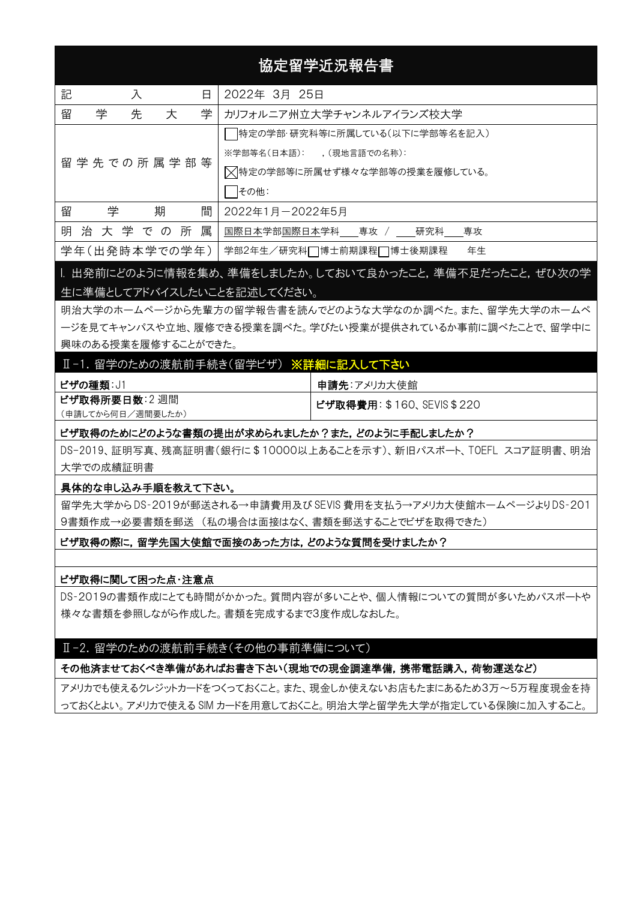# 協定留学近況報告書

| 記<br>日<br>入           | 2022年 3月 25日                    |  |  |  |  |  |
|-----------------------|---------------------------------|--|--|--|--|--|
| 先<br>学<br>留<br>学<br>大 | カリフォルニア州立大学チャンネルアイランズ校大学        |  |  |  |  |  |
|                       | 特定の学部・研究科等に所属している(以下に学部等名を記入)   |  |  |  |  |  |
| 留 学 先 での 所 属 学 部 等    | ※学部等名(日本語): (現地言語での名称):         |  |  |  |  |  |
|                       | ◯◯特定の学部等に所属せず様々な学部等の授業を履修している。  |  |  |  |  |  |
|                       | その他:                            |  |  |  |  |  |
| 期<br>留<br>学<br>間      | 2022年1月-2022年5月                 |  |  |  |  |  |
| 明治大学での所属              | 国際日本学部国際日本学科__専攻 /__研究科__<br>専攻 |  |  |  |  |  |
| 学年(出発時本学での学年)         | 年生<br>学部2年生/研究科□博士前期課程□博士後期課程   |  |  |  |  |  |

# I. 出発前にどのように情報を集め、準備をしましたか。しておいて良かったこと,準備不足だったこと,ぜひ次の学 生に準備としてアドバイスしたいことを記述してください。

明治大学のホームページから先輩方の留学報告書を読んでどのような大学なのか調べた。また、留学先大学のホームペ ージを見てキャンパスや立地、履修できる授業を調べた。学びたい授業が提供されているか事前に調べたことで、留学中に 興味のある授業を履修することができた。

## Ⅱ-1. 留学のための渡航前手続き(留学ビザ) ※詳細に記入して下さい

| ビザの種類: J1         | 申請先:アメリカ大使館                 |
|-------------------|-----------------------------|
| ビザ取得所要日数: 2 週間    | ビザ取得費用: \$ 160、SEVIS \$ 220 |
| (申請してから何日/週間要したか) |                             |

#### ビザ取得のためにどのような書類の提出が求められましたか?また,どのように手配しましたか?

DS-2019、証明写真、残高証明書(銀行に\$10000以上あることを示す)、新旧パスポート、TOEFL スコア証明書、明治 大学での成績証明書

#### 具体的な申し込み手順を教えて下さい。

留学先大学から DS-2019が郵送される→申請費用及び SEVIS 費用を支払う→アメリカ大使館ホームページより DS-201 9書類作成→必要書類を郵送 (私の場合は面接はなく、書類を郵送することでビザを取得できた)

#### ビザ取得の際に,留学先国大使館で面接のあった方は,どのような質問を受けましたか?

#### ビザ取得に関して困った点・注意点

DS‐2019の書類作成にとても時間がかかった。質問内容が多いことや、個人情報についての質問が多いためパスポートや 様々な書類を参照しながら作成した。書類を完成するまで3度作成しなおした。

#### Ⅱ-2. 留学のための渡航前手続き(その他の事前準備について)

その他済ませておくべき準備があればお書き下さい(現地での現金調達準備,携帯電話購入,荷物運送など)

アメリカでも使えるクレジットカードをつくっておくこと。また、現金しか使えないお店もたまにあるため3万~5万程度現金を持 っておくとよい。アメリカで使える SIM カードを用意しておくこと。明治大学と留学先大学が指定している保険に加入すること。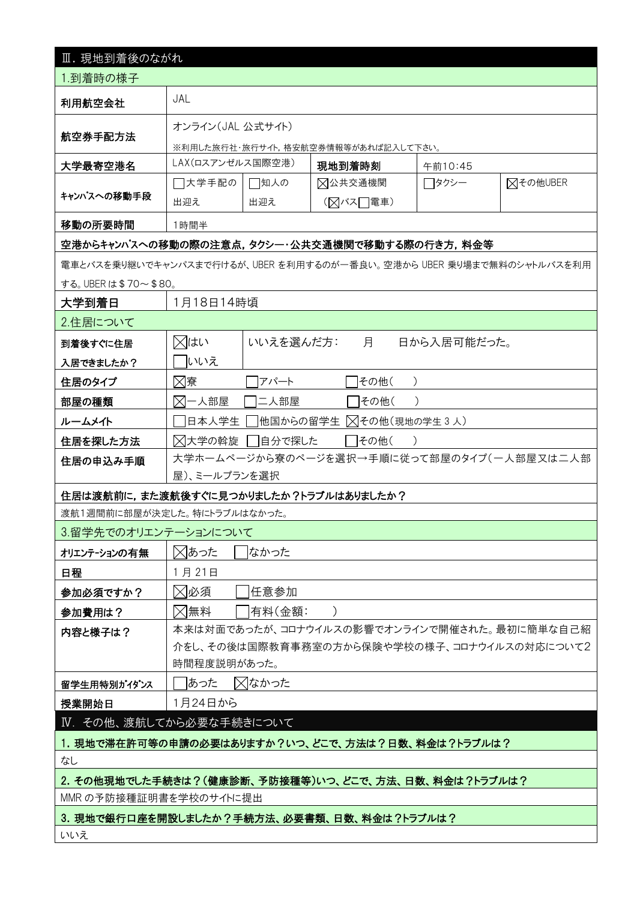| Ⅲ. 現地到着後のながれ                                                         |                                                            |           |                                             |             |          |  |
|----------------------------------------------------------------------|------------------------------------------------------------|-----------|---------------------------------------------|-------------|----------|--|
| 1.到着時の様子                                                             |                                                            |           |                                             |             |          |  |
| 利用航空会社                                                               | <b>JAL</b>                                                 |           |                                             |             |          |  |
|                                                                      | オンライン(JAL 公式サイト)                                           |           |                                             |             |          |  |
| 航空券手配方法                                                              |                                                            |           | ※利用した旅行社・旅行サイト,格安航空券情報等があれば記入して下さい。         |             |          |  |
| 大学最寄空港名                                                              | LAX(ロスアンゼルス国際空港)                                           |           | 現地到着時刻                                      | 午前10:45     |          |  |
|                                                                      | □大学手配の                                                     | □知人の      | ⊠公共交通機関                                     | ┌─タクシー      | ⊠その他UBER |  |
| キャンパスへの移動手段                                                          | 出迎え                                                        | 出迎え       | (▽ベス□電車)                                    |             |          |  |
| 移動の所要時間                                                              | 1時間半                                                       |           |                                             |             |          |  |
| 空港からキャンパスへの移動の際の注意点,タクシー・公共交通機関で移動する際の行き方,料金等                        |                                                            |           |                                             |             |          |  |
| 電車とバスを乗り継いでキャンパスまで行けるが、UBER を利用するのが一番良い。 空港から UBER 乗り場まで無料のシャトルバスを利用 |                                                            |           |                                             |             |          |  |
| する。UBERは\$70~\$80。                                                   |                                                            |           |                                             |             |          |  |
| 大学到着日                                                                | 1月18日14時頃                                                  |           |                                             |             |          |  |
| 2.住居について                                                             |                                                            |           |                                             |             |          |  |
| 到着後すぐに住居                                                             | ⊠はい                                                        | いいえを選んだ方: | 月                                           | 日から入居可能だった。 |          |  |
| 入居できましたか?                                                            | いいえ                                                        |           |                                             |             |          |  |
| 住居のタイプ                                                               | ⊠寮                                                         | アパート      | その他(                                        |             |          |  |
| 部屋の種類                                                                | ⊠一人部屋                                                      | 二人部屋      | その他(                                        |             |          |  |
| ルームメイト                                                               | 日本人学生                                                      |           | 他国からの留学生  ╳ その他(現地の学生3人)                    |             |          |  |
| 住居を探した方法                                                             | ⊠大学の斡旋<br> 自分で探した<br>その他(                                  |           |                                             |             |          |  |
| 住居の申込み手順                                                             |                                                            |           | 大学ホームページから寮のページを選択→手順に従って部屋のタイプ(一人部屋又は二人部   |             |          |  |
| 屋)、ミールプランを選択                                                         |                                                            |           |                                             |             |          |  |
| 住居は渡航前に,また渡航後すぐに見つかりましたか?トラブルはありましたか?                                |                                                            |           |                                             |             |          |  |
| 渡航1週間前に部屋が決定した。特にトラブルはなかった。                                          |                                                            |           |                                             |             |          |  |
| 3.留学先でのオリエンテーションについて                                                 |                                                            |           |                                             |             |          |  |
| オリエンテーションの有無                                                         | ⊠あった                                                       | なかった      |                                             |             |          |  |
| 日程                                                                   | 1月21日                                                      |           |                                             |             |          |  |
| 参加必須ですか?                                                             | ⊠必須                                                        | 任意参加      |                                             |             |          |  |
| 参加費用は?                                                               | ⊠無料                                                        | 有料(金額:    |                                             |             |          |  |
| 内容と様子は?                                                              |                                                            |           | 本来は対面であったが、コロナウイルスの影響でオンラインで開催された。最初に簡単な自己紹 |             |          |  |
|                                                                      | 介をし、その後は国際教育事務室の方から保険や学校の様子、コロナウイルスの対応について2<br>時間程度説明があった。 |           |                                             |             |          |  |
| 留学生用特別ガイダンス                                                          | あった                                                        | ⊠なかった     |                                             |             |          |  |
| 授業開始日                                                                | 1月24日から                                                    |           |                                             |             |          |  |
| Ⅳ. その他、渡航してから必要な手続きについて                                              |                                                            |           |                                             |             |          |  |
| 1. 現地で滞在許可等の申請の必要はありますか?いつ、どこで、方法は?日数、料金は?トラブルは?                     |                                                            |           |                                             |             |          |  |
| なし                                                                   |                                                            |           |                                             |             |          |  |
| 2. その他現地でした手続きは?(健康診断、予防接種等)いつ、どこで、方法、日数、料金は?トラブルは?                  |                                                            |           |                                             |             |          |  |
| MMR の予防接種証明書を学校のサイトに提出                                               |                                                            |           |                                             |             |          |  |
| 3. 現地で銀行口座を開設しましたか?手続方法、必要書類、日数、料金は?トラブルは?                           |                                                            |           |                                             |             |          |  |
| いいえ                                                                  |                                                            |           |                                             |             |          |  |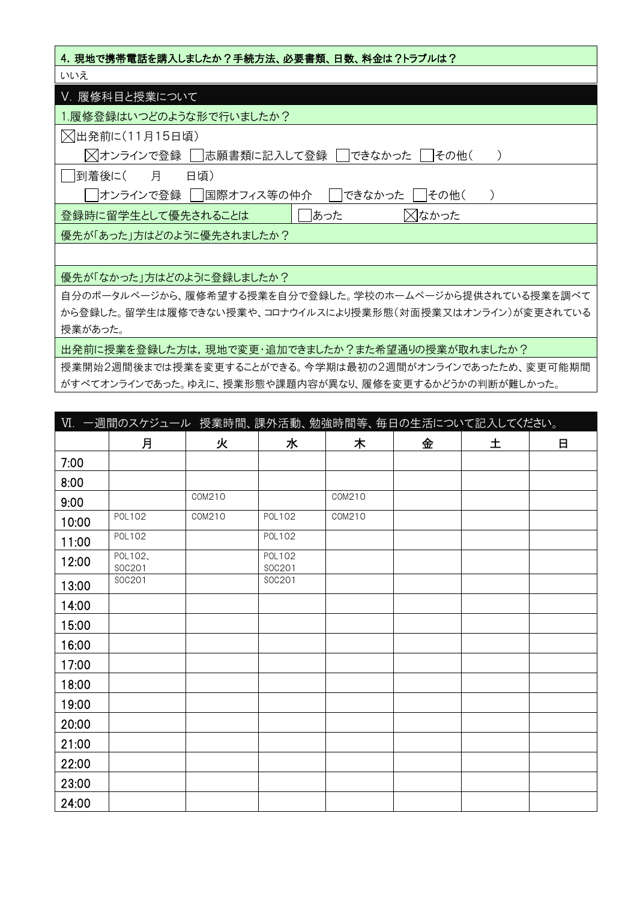| 4. 現地で携帯電話を購入しましたか?手続方法、必要書類、日数、料金は?トラブルは?               |
|----------------------------------------------------------|
| いいえ                                                      |
| V. 履修科目と授業について                                           |
| 1.履修登録はいつどのような形で行いましたか?                                  |
| ◯出発前に(11月15日頃)                                           |
| ╳ オンラインで登録 │  志願書類に記入して登録 │<br>できなかった<br> その他(           |
| 到着後に(<br>月<br>日頃)                                        |
| オンラインで登録    国際オフィス等の仲介 <br> できなかった<br> その他(<br>$\lambda$ |
| 登録時に留学生として優先されることは<br>あった<br>⊠なかった                       |
| 優先が「あった」方はどのように優先されましたか?                                 |
|                                                          |
| 優先が「なかった」方はどのように登録しましたか?                                 |
| 自分のポータルページから、履修希望する授業を自分で登録した。学校のホームページから提供されている授業を調べて   |
| から登録した。留学生は履修できない授業や、コロナウイルスにより授業形態(対面授業又はオンライン)が変更されている |
| 授業があった。                                                  |
| 出発前に授業を登録した方は,現地で変更・追加できましたか?また希望通りの授業が取れましたか?           |
| 授業開始2週間後までは授業を変更することができる。今学期は最初の2週間がオンラインであったため、変更可能期間   |
| がすべてオンラインであった。ゆえに、授業形態や課題内容が異なり、履修を変更するかどうかの判断が難しかった。    |

|       | VI. 一週間のスケジュール 授業時間、課外活動、勉強時間等、毎日の生活について記入してください。 |        |                         |        |   |   |   |
|-------|---------------------------------------------------|--------|-------------------------|--------|---|---|---|
|       | 月                                                 | 火      | 水                       | 木      | 金 | 土 | 日 |
| 7:00  |                                                   |        |                         |        |   |   |   |
| 8:00  |                                                   |        |                         |        |   |   |   |
| 9:00  |                                                   | COM210 |                         | COM210 |   |   |   |
| 10:00 | POL102                                            | COM210 | <b>POL102</b>           | COM210 |   |   |   |
| 11:00 | POL102                                            |        | <b>POL102</b>           |        |   |   |   |
| 12:00 | POL102,<br>SOC201                                 |        | <b>POL102</b><br>SOC201 |        |   |   |   |
| 13:00 | SOC201                                            |        | SOC201                  |        |   |   |   |
| 14:00 |                                                   |        |                         |        |   |   |   |
| 15:00 |                                                   |        |                         |        |   |   |   |
| 16:00 |                                                   |        |                         |        |   |   |   |
| 17:00 |                                                   |        |                         |        |   |   |   |
| 18:00 |                                                   |        |                         |        |   |   |   |
| 19:00 |                                                   |        |                         |        |   |   |   |
| 20:00 |                                                   |        |                         |        |   |   |   |
| 21:00 |                                                   |        |                         |        |   |   |   |
| 22:00 |                                                   |        |                         |        |   |   |   |
| 23:00 |                                                   |        |                         |        |   |   |   |
| 24:00 |                                                   |        |                         |        |   |   |   |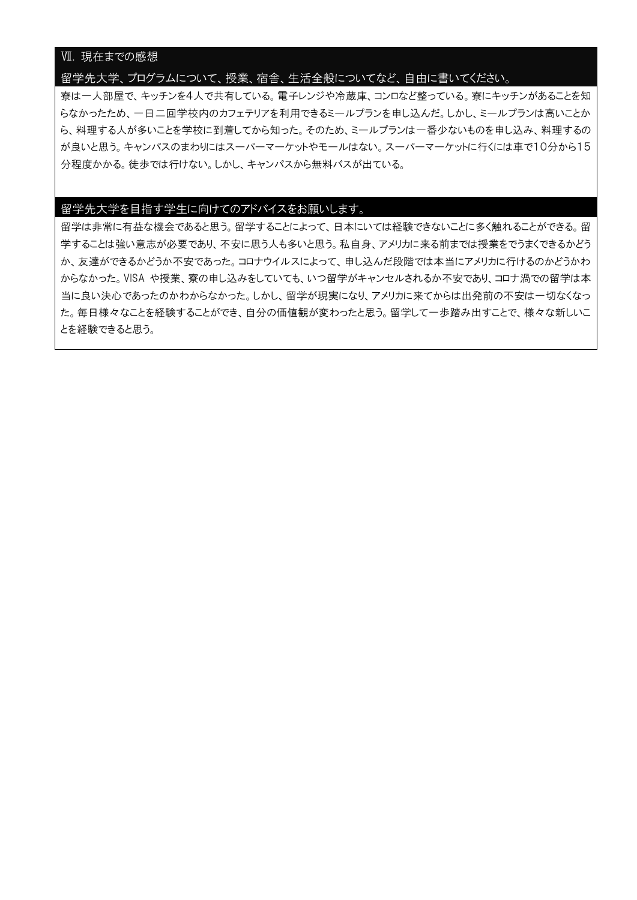# Ⅶ. 現在までの感想

#### 留学先大学、プログラムについて、授業、宿舎、生活全般についてなど、自由に書いてください。

寮は一人部屋で、キッチンを4人で共有している。電子レンジや冷蔵庫、コンロなど整っている。寮にキッチンがあることを知 らなかったため、一日二回学校内のカフェテリアを利用できるミールプランを申し込んだ。しかし、ミールプランは高いことか ら、料理する人が多いことを学校に到着してから知った。そのため、ミールプランは一番少ないものを申し込み、料理するの が良いと思う。キャンパスのまわりにはスーパーマーケットやモールはない。スーパーマーケットに行くには車で10分から15 分程度かかる。徒歩では行けない。しかし、キャンパスから無料バスが出ている。

#### 留学先大学を目指す学生に向けてのアドバイスをお願いします。

留学は非常に有益な機会であると思う。留学することによって、日本にいては経験できないことに多く触れることができる。留 学することは強い意志が必要であり、不安に思う人も多いと思う。私自身、アメリカに来る前までは授業をでうまくできるかどう か、友達ができるかどうか不安であった。コロナウイルスによって、申し込んだ段階では本当にアメリカに行けるのかどうかわ からなかった。VISA や授業、寮の申し込みをしていても、いつ留学がキャンセルされるか不安であり、コロナ渦での留学は本 当に良い決心であったのかわからなかった。しかし、留学が現実になり、アメリカに来てからは出発前の不安は一切なくなっ た。毎日様々なことを経験することができ、自分の価値観が変わったと思う。留学して一歩踏み出すことで、様々な新しいこ とを経験できると思う。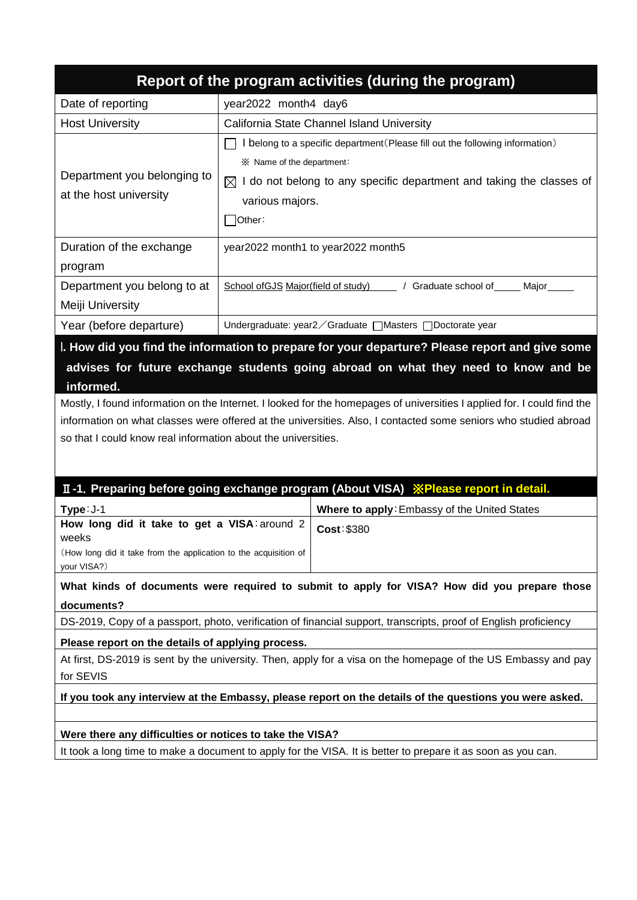| Report of the program activities (during the program) |                                                                                                                                                                                                                                       |  |  |  |  |
|-------------------------------------------------------|---------------------------------------------------------------------------------------------------------------------------------------------------------------------------------------------------------------------------------------|--|--|--|--|
| Date of reporting                                     | year2022 month4 day6                                                                                                                                                                                                                  |  |  |  |  |
| <b>Host University</b>                                | California State Channel Island University                                                                                                                                                                                            |  |  |  |  |
| Department you belonging to<br>at the host university | belong to a specific department (Please fill out the following information)<br>$\mathbb X$ Name of the department:<br>do not belong to any specific department and taking the classes of<br>$\boxtimes$<br>various majors.<br>lOther: |  |  |  |  |
| Duration of the exchange<br>program                   | year2022 month1 to year2022 month5                                                                                                                                                                                                    |  |  |  |  |
| Department you belong to at<br>Meiji University       | School of GJS Major (field of study)<br>Graduate school of _____ Major___                                                                                                                                                             |  |  |  |  |
| Year (before departure)                               | Undergraduate: year2 Graduate   Masters   Doctorate year                                                                                                                                                                              |  |  |  |  |

I**. How did you find the information to prepare for your departure? Please report and give some advises for future exchange students going abroad on what they need to know and be informed.**

Mostly, I found information on the Internet. I looked for the homepages of universities I applied for. I could find the information on what classes were offered at the universities. Also, I contacted some seniors who studied abroad so that I could know real information about the universities.

# Ⅱ**-1**.**Preparing before going exchange program (About VISA)** ※**Please report in detail.**

| $Type: J-1$                                                      | Where to apply: Embassy of the United States |
|------------------------------------------------------------------|----------------------------------------------|
| How long did it take to get a VISA: around 2   Cost: \$380       |                                              |
| weeks                                                            |                                              |
| (How long did it take from the application to the acquisition of |                                              |
| your VISA?)                                                      |                                              |

**What kinds of documents were required to submit to apply for VISA? How did you prepare those documents?**

DS-2019, Copy of a passport, photo, verification of financial support, transcripts, proof of English proficiency

## **Please report on the details of applying process.**

At first, DS-2019 is sent by the university. Then, apply for a visa on the homepage of the US Embassy and pay for SEVIS

# **If you took any interview at the Embassy, please report on the details of the questions you were asked.**

## **Were there any difficulties or notices to take the VISA?**

It took a long time to make a document to apply for the VISA. It is better to prepare it as soon as you can.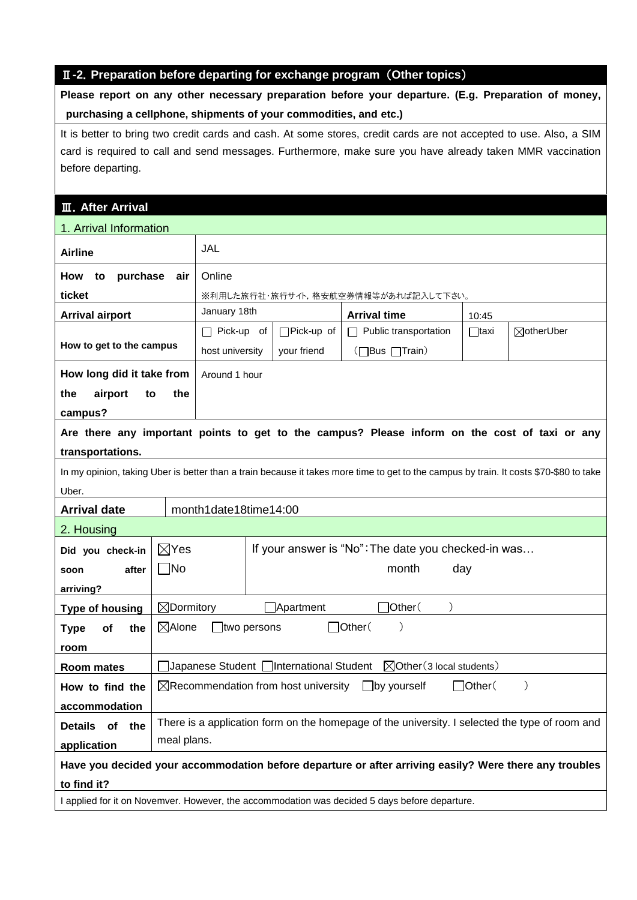## Ⅱ**-2**.**Preparation before departing for exchange program** (**Other topics**)

**Please report on any other necessary preparation before your departure. (E.g. Preparation of money, purchasing a cellphone, shipments of your commodities, and etc.)** 

It is better to bring two credit cards and cash. At some stores, credit cards are not accepted to use. Also, a SIM card is required to call and send messages. Furthermore, make sure you have already taken MMR vaccination before departing.

### Ⅲ.**After Arrival**

1. Arrival Information

| <b>Airline</b>                                                                                         |                                                                                                     | JAL                   |                   |                                                                                                                                        |       |            |  |
|--------------------------------------------------------------------------------------------------------|-----------------------------------------------------------------------------------------------------|-----------------------|-------------------|----------------------------------------------------------------------------------------------------------------------------------------|-------|------------|--|
| purchase<br>How<br>to                                                                                  | Online<br>air                                                                                       |                       |                   |                                                                                                                                        |       |            |  |
| ticket                                                                                                 |                                                                                                     |                       |                   | ※利用した旅行社・旅行サイト,格安航空券情報等があれば記入して下さい。                                                                                                    |       |            |  |
| <b>Arrival airport</b>                                                                                 |                                                                                                     | January 18th          |                   | <b>Arrival time</b>                                                                                                                    | 10:45 |            |  |
|                                                                                                        |                                                                                                     | $\Box$ Pick-up of     | $\Box$ Pick-up of | Public transportation<br>$\mathsf{L}$                                                                                                  | □taxi | ⊠otherUber |  |
| How to get to the campus                                                                               |                                                                                                     | host university       | your friend       | (□Bus □Train)                                                                                                                          |       |            |  |
| How long did it take from                                                                              |                                                                                                     | Around 1 hour         |                   |                                                                                                                                        |       |            |  |
| airport<br>the<br>to                                                                                   | the                                                                                                 |                       |                   |                                                                                                                                        |       |            |  |
| campus?                                                                                                |                                                                                                     |                       |                   |                                                                                                                                        |       |            |  |
|                                                                                                        |                                                                                                     |                       |                   | Are there any important points to get to the campus? Please inform on the cost of taxi or any                                          |       |            |  |
| transportations.                                                                                       |                                                                                                     |                       |                   |                                                                                                                                        |       |            |  |
|                                                                                                        |                                                                                                     |                       |                   | In my opinion, taking Uber is better than a train because it takes more time to get to the campus by train. It costs \$70-\$80 to take |       |            |  |
| Uber.                                                                                                  |                                                                                                     |                       |                   |                                                                                                                                        |       |            |  |
| <b>Arrival date</b>                                                                                    |                                                                                                     | month1date18time14:00 |                   |                                                                                                                                        |       |            |  |
| 2. Housing                                                                                             |                                                                                                     |                       |                   |                                                                                                                                        |       |            |  |
| Did you check-in                                                                                       | $\boxtimes$ Yes                                                                                     |                       |                   | If your answer is "No": The date you checked-in was                                                                                    |       |            |  |
| after<br>soon                                                                                          | $\Box$ No                                                                                           |                       |                   | month<br>day                                                                                                                           |       |            |  |
| arriving?                                                                                              |                                                                                                     |                       |                   |                                                                                                                                        |       |            |  |
| <b>Type of housing</b>                                                                                 | $\boxtimes$ Dormitory                                                                               |                       | $\Box$ Apartment  | Other <sup>(</sup>                                                                                                                     |       |            |  |
| the<br><b>Type</b><br>of                                                                               | $\Box$ Other(<br>$\boxtimes$ Alone<br>$\Box$ two persons<br>$\mathcal{E}$                           |                       |                   |                                                                                                                                        |       |            |  |
| room                                                                                                   |                                                                                                     |                       |                   |                                                                                                                                        |       |            |  |
| <b>Room mates</b>                                                                                      |                                                                                                     |                       |                   |                                                                                                                                        |       |            |  |
| How to find the                                                                                        | $\Box$ Other $($<br>$\boxtimes$ Recommendation from host university $\Box$ by yourself<br>$\lambda$ |                       |                   |                                                                                                                                        |       |            |  |
| accommodation                                                                                          |                                                                                                     |                       |                   |                                                                                                                                        |       |            |  |
| the                                                                                                    | There is a application form on the homepage of the university. I selected the type of room and      |                       |                   |                                                                                                                                        |       |            |  |
| <b>Details</b><br>οf                                                                                   | meal plans.                                                                                         |                       |                   |                                                                                                                                        |       |            |  |
| application                                                                                            |                                                                                                     |                       |                   |                                                                                                                                        |       |            |  |
| Have you decided your accommodation before departure or after arriving easily? Were there any troubles |                                                                                                     |                       |                   |                                                                                                                                        |       |            |  |
| to find it?                                                                                            |                                                                                                     |                       |                   |                                                                                                                                        |       |            |  |
| I applied for it on Novemver. However, the accommodation was decided 5 days before departure.          |                                                                                                     |                       |                   |                                                                                                                                        |       |            |  |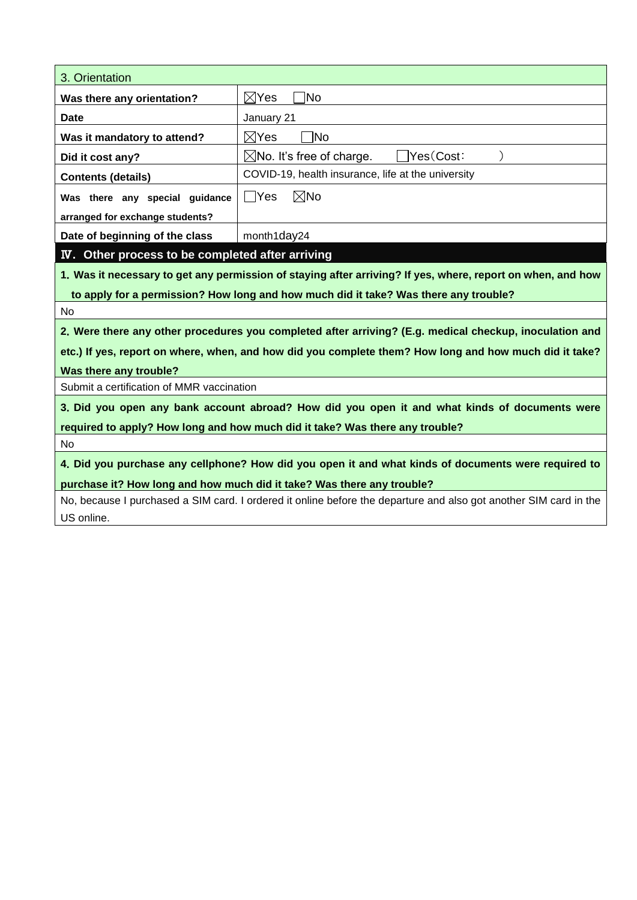| 3. Orientation                                                                                         |                                                                                                                   |  |  |  |  |
|--------------------------------------------------------------------------------------------------------|-------------------------------------------------------------------------------------------------------------------|--|--|--|--|
| Was there any orientation?                                                                             | $\boxtimes$ Yes<br>ÌΝo                                                                                            |  |  |  |  |
| <b>Date</b>                                                                                            | January 21                                                                                                        |  |  |  |  |
| Was it mandatory to attend?                                                                            | $\boxtimes$ Yes<br>้∣No                                                                                           |  |  |  |  |
| Did it cost any?                                                                                       | $\boxtimes$ No. It's free of charge.<br> Yes(Cost∶                                                                |  |  |  |  |
| <b>Contents (details)</b>                                                                              | COVID-19, health insurance, life at the university                                                                |  |  |  |  |
| Was there any special guidance                                                                         | $\boxtimes$ No<br>$\Box$ Yes                                                                                      |  |  |  |  |
| arranged for exchange students?                                                                        |                                                                                                                   |  |  |  |  |
| Date of beginning of the class                                                                         | month1day24                                                                                                       |  |  |  |  |
| IV. Other process to be completed after arriving                                                       |                                                                                                                   |  |  |  |  |
|                                                                                                        | 1. Was it necessary to get any permission of staying after arriving? If yes, where, report on when, and how       |  |  |  |  |
|                                                                                                        | to apply for a permission? How long and how much did it take? Was there any trouble?                              |  |  |  |  |
| No                                                                                                     |                                                                                                                   |  |  |  |  |
|                                                                                                        | 2. Were there any other procedures you completed after arriving? (E.g. medical checkup, inoculation and           |  |  |  |  |
| etc.) If yes, report on where, when, and how did you complete them? How long and how much did it take? |                                                                                                                   |  |  |  |  |
| Was there any trouble?                                                                                 |                                                                                                                   |  |  |  |  |
| Submit a certification of MMR vaccination                                                              |                                                                                                                   |  |  |  |  |
| 3. Did you open any bank account abroad? How did you open it and what kinds of documents were          |                                                                                                                   |  |  |  |  |
| required to apply? How long and how much did it take? Was there any trouble?                           |                                                                                                                   |  |  |  |  |
| No                                                                                                     |                                                                                                                   |  |  |  |  |
| 4. Did you purchase any cellphone? How did you open it and what kinds of documents were required to    |                                                                                                                   |  |  |  |  |
|                                                                                                        | purchase it? How long and how much did it take? Was there any trouble?                                            |  |  |  |  |
|                                                                                                        | No, because I purchased a SIM card. I ordered it online before the departure and also got another SIM card in the |  |  |  |  |
| US online.                                                                                             |                                                                                                                   |  |  |  |  |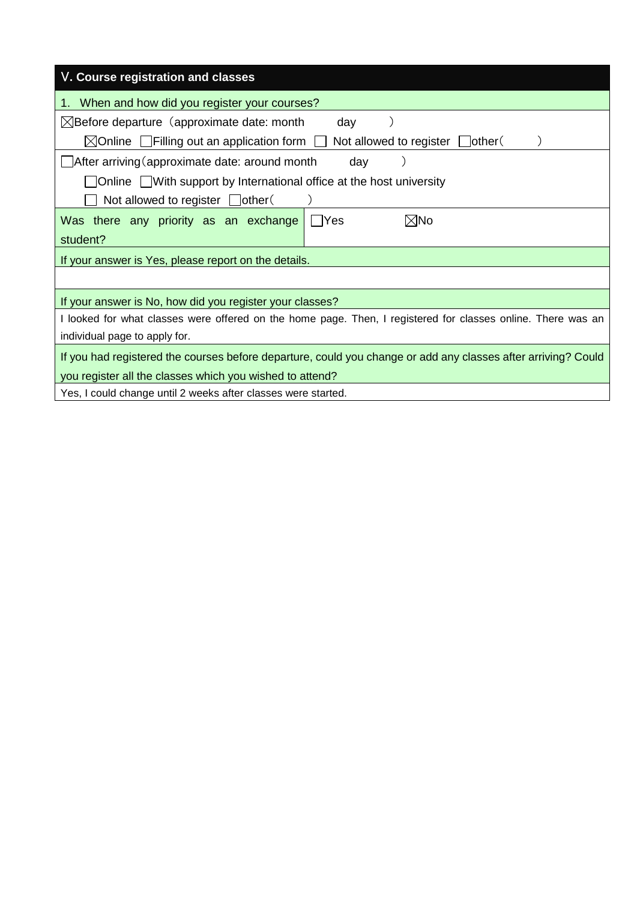| V. Course registration and classes                                                                            |
|---------------------------------------------------------------------------------------------------------------|
| 1. When and how did you register your courses?                                                                |
| $\boxtimes$ Before departure (approximate date: month<br>day                                                  |
| $\boxtimes$ Online $\Box$ Filling out an application form $\Box$<br>Not allowed to register $\Box$ other      |
| △ After arriving (approximate date: around month<br>day                                                       |
| Online With support by International office at the host university                                            |
| Not allowed to register $\Box$ other(                                                                         |
| $\boxtimes$ No<br>Was there any priority as an exchange<br>  Yes                                              |
| student?                                                                                                      |
| If your answer is Yes, please report on the details.                                                          |
|                                                                                                               |
| If your answer is No, how did you register your classes?                                                      |
| I looked for what classes were offered on the home page. Then, I registered for classes online. There was an  |
| individual page to apply for.                                                                                 |
| If you had registered the courses before departure, could you change or add any classes after arriving? Could |
| you register all the classes which you wished to attend?                                                      |
| Yes, I could change until 2 weeks after classes were started.                                                 |